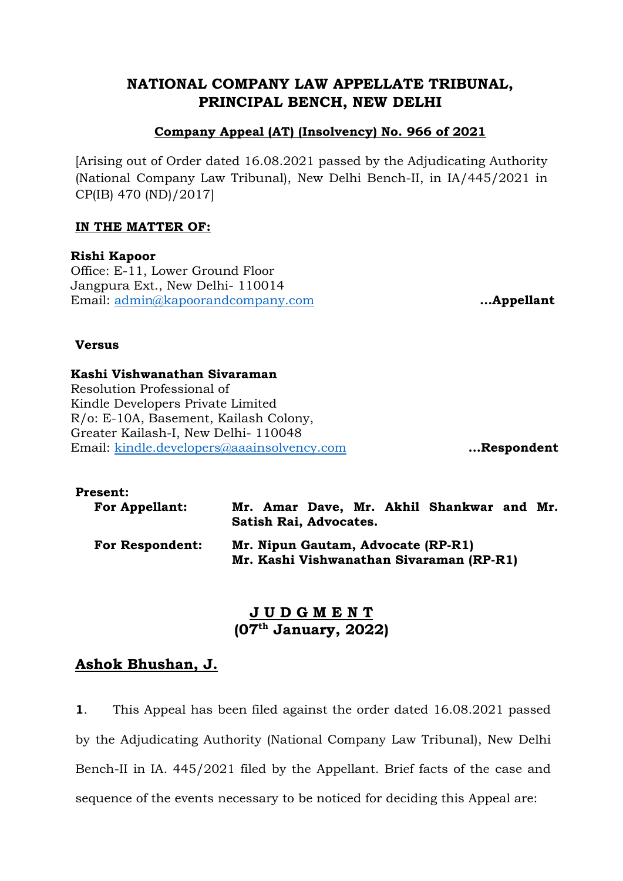# **NATIONAL COMPANY LAW APPELLATE TRIBUNAL, PRINCIPAL BENCH, NEW DELHI**

## **Company Appeal (AT) (Insolvency) No. 966 of 2021**

[Arising out of Order dated 16.08.2021 passed by the Adjudicating Authority (National Company Law Tribunal), New Delhi Bench-II, in IA/445/2021 in CP(IB) 470 (ND)/2017]

## **IN THE MATTER OF:**

**Rishi Kapoor** Office: E-11, Lower Ground Floor Jangpura Ext., New Delhi- 110014 Email: [admin@kapoorandcompany.com](mailto:admin@kapoorandcompany.com) **…Appellant**

#### **Versus**

#### **Kashi Vishwanathan Sivaraman**

Resolution Professional of Kindle Developers Private Limited R/o: E-10A, Basement, Kailash Colony, Greater Kailash-I, New Delhi- 110048 Email: [kindle.developers@aaainsolvency.com](mailto:kindle.developers@aaainsolvency.com) **…Respondent**

| <b>Present:</b>        |                                                                                |
|------------------------|--------------------------------------------------------------------------------|
| <b>For Appellant:</b>  | Mr. Amar Dave, Mr. Akhil Shankwar and Mr.<br>Satish Rai, Advocates.            |
| <b>For Respondent:</b> | Mr. Nipun Gautam, Advocate (RP-R1)<br>Mr. Kashi Vishwanathan Sivaraman (RP-R1) |

**J U D G M E N T (07th January, 2022)**

## **Ashok Bhushan, J.**

**1**. This Appeal has been filed against the order dated 16.08.2021 passed by the Adjudicating Authority (National Company Law Tribunal), New Delhi Bench-II in IA. 445/2021 filed by the Appellant. Brief facts of the case and sequence of the events necessary to be noticed for deciding this Appeal are: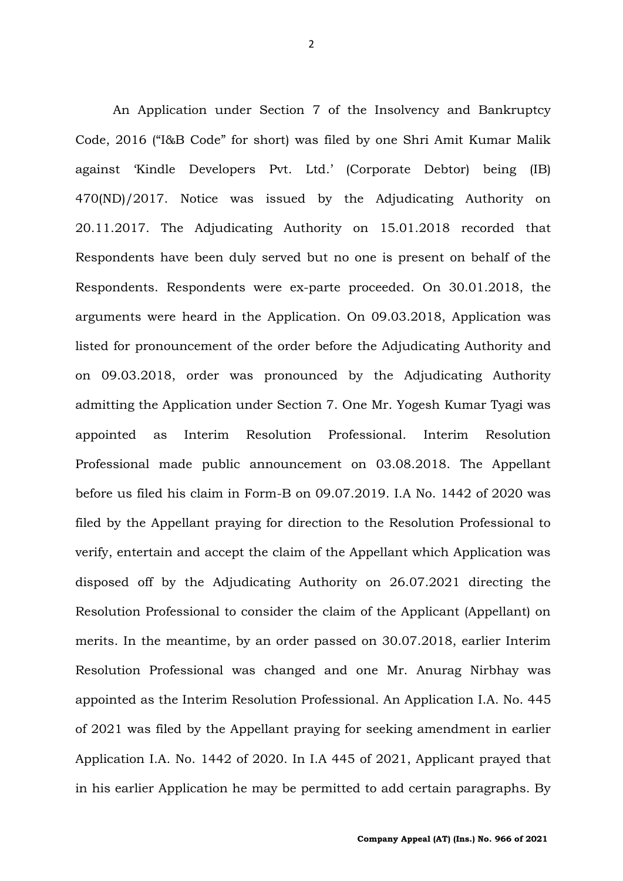An Application under Section 7 of the Insolvency and Bankruptcy Code, 2016 ("I&B Code" for short) was filed by one Shri Amit Kumar Malik against 'Kindle Developers Pvt. Ltd.' (Corporate Debtor) being (IB) 470(ND)/2017. Notice was issued by the Adjudicating Authority on 20.11.2017. The Adjudicating Authority on 15.01.2018 recorded that Respondents have been duly served but no one is present on behalf of the Respondents. Respondents were ex-parte proceeded. On 30.01.2018, the arguments were heard in the Application. On 09.03.2018, Application was listed for pronouncement of the order before the Adjudicating Authority and on 09.03.2018, order was pronounced by the Adjudicating Authority admitting the Application under Section 7. One Mr. Yogesh Kumar Tyagi was appointed as Interim Resolution Professional. Interim Resolution Professional made public announcement on 03.08.2018. The Appellant before us filed his claim in Form-B on 09.07.2019. I.A No. 1442 of 2020 was filed by the Appellant praying for direction to the Resolution Professional to verify, entertain and accept the claim of the Appellant which Application was disposed off by the Adjudicating Authority on 26.07.2021 directing the Resolution Professional to consider the claim of the Applicant (Appellant) on merits. In the meantime, by an order passed on 30.07.2018, earlier Interim Resolution Professional was changed and one Mr. Anurag Nirbhay was appointed as the Interim Resolution Professional. An Application I.A. No. 445 of 2021 was filed by the Appellant praying for seeking amendment in earlier Application I.A. No. 1442 of 2020. In I.A 445 of 2021, Applicant prayed that in his earlier Application he may be permitted to add certain paragraphs. By

2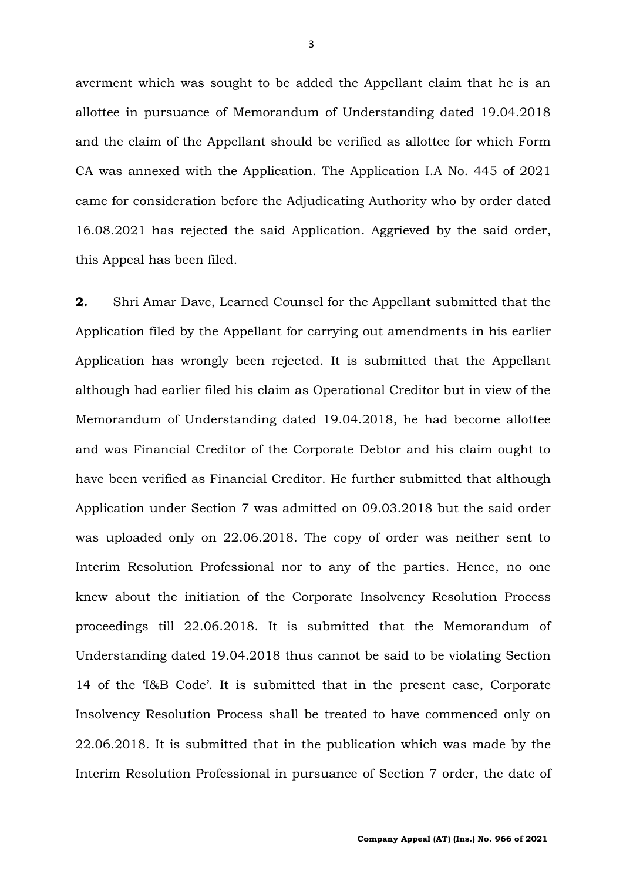averment which was sought to be added the Appellant claim that he is an allottee in pursuance of Memorandum of Understanding dated 19.04.2018 and the claim of the Appellant should be verified as allottee for which Form CA was annexed with the Application. The Application I.A No. 445 of 2021 came for consideration before the Adjudicating Authority who by order dated 16.08.2021 has rejected the said Application. Aggrieved by the said order, this Appeal has been filed.

**2.** Shri Amar Dave, Learned Counsel for the Appellant submitted that the Application filed by the Appellant for carrying out amendments in his earlier Application has wrongly been rejected. It is submitted that the Appellant although had earlier filed his claim as Operational Creditor but in view of the Memorandum of Understanding dated 19.04.2018, he had become allottee and was Financial Creditor of the Corporate Debtor and his claim ought to have been verified as Financial Creditor. He further submitted that although Application under Section 7 was admitted on 09.03.2018 but the said order was uploaded only on 22.06.2018. The copy of order was neither sent to Interim Resolution Professional nor to any of the parties. Hence, no one knew about the initiation of the Corporate Insolvency Resolution Process proceedings till 22.06.2018. It is submitted that the Memorandum of Understanding dated 19.04.2018 thus cannot be said to be violating Section 14 of the 'I&B Code'. It is submitted that in the present case, Corporate Insolvency Resolution Process shall be treated to have commenced only on 22.06.2018. It is submitted that in the publication which was made by the Interim Resolution Professional in pursuance of Section 7 order, the date of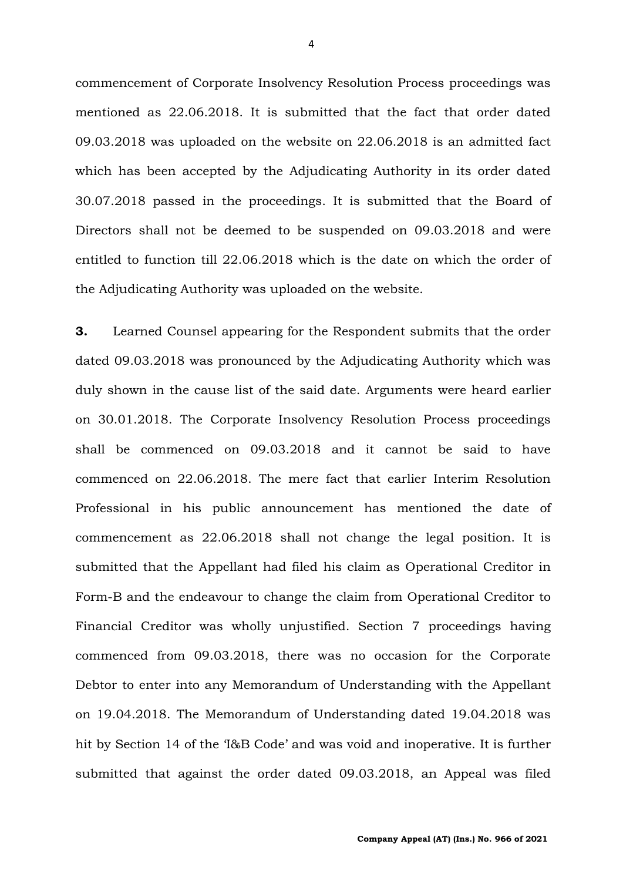commencement of Corporate Insolvency Resolution Process proceedings was mentioned as 22.06.2018. It is submitted that the fact that order dated 09.03.2018 was uploaded on the website on 22.06.2018 is an admitted fact which has been accepted by the Adjudicating Authority in its order dated 30.07.2018 passed in the proceedings. It is submitted that the Board of Directors shall not be deemed to be suspended on 09.03.2018 and were entitled to function till 22.06.2018 which is the date on which the order of the Adjudicating Authority was uploaded on the website.

**3.** Learned Counsel appearing for the Respondent submits that the order dated 09.03.2018 was pronounced by the Adjudicating Authority which was duly shown in the cause list of the said date. Arguments were heard earlier on 30.01.2018. The Corporate Insolvency Resolution Process proceedings shall be commenced on 09.03.2018 and it cannot be said to have commenced on 22.06.2018. The mere fact that earlier Interim Resolution Professional in his public announcement has mentioned the date of commencement as 22.06.2018 shall not change the legal position. It is submitted that the Appellant had filed his claim as Operational Creditor in Form-B and the endeavour to change the claim from Operational Creditor to Financial Creditor was wholly unjustified. Section 7 proceedings having commenced from 09.03.2018, there was no occasion for the Corporate Debtor to enter into any Memorandum of Understanding with the Appellant on 19.04.2018. The Memorandum of Understanding dated 19.04.2018 was hit by Section 14 of the 'I&B Code' and was void and inoperative. It is further submitted that against the order dated 09.03.2018, an Appeal was filed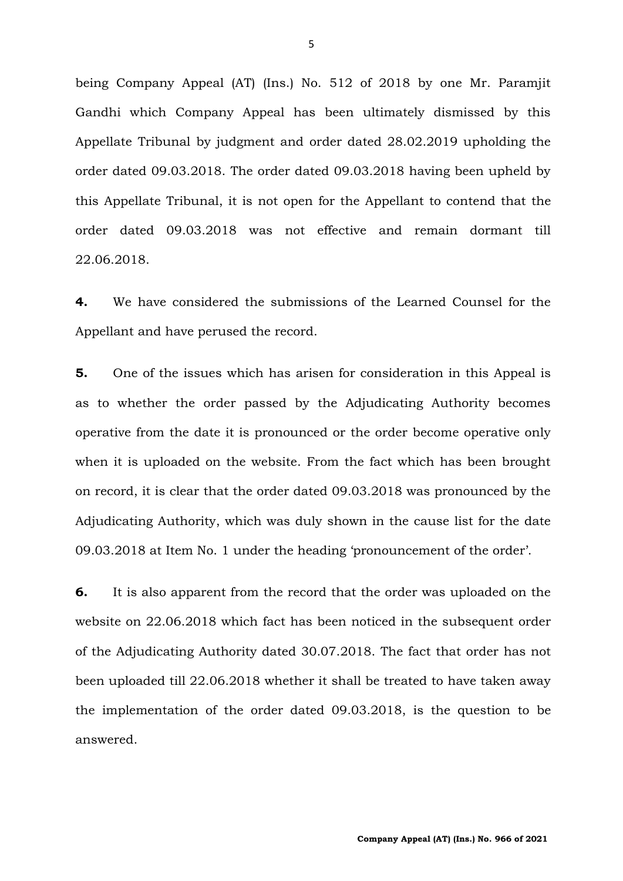being Company Appeal (AT) (Ins.) No. 512 of 2018 by one Mr. Paramjit Gandhi which Company Appeal has been ultimately dismissed by this Appellate Tribunal by judgment and order dated 28.02.2019 upholding the order dated 09.03.2018. The order dated 09.03.2018 having been upheld by this Appellate Tribunal, it is not open for the Appellant to contend that the order dated 09.03.2018 was not effective and remain dormant till 22.06.2018.

**4.** We have considered the submissions of the Learned Counsel for the Appellant and have perused the record.

**5.** One of the issues which has arisen for consideration in this Appeal is as to whether the order passed by the Adjudicating Authority becomes operative from the date it is pronounced or the order become operative only when it is uploaded on the website. From the fact which has been brought on record, it is clear that the order dated 09.03.2018 was pronounced by the Adjudicating Authority, which was duly shown in the cause list for the date 09.03.2018 at Item No. 1 under the heading 'pronouncement of the order'.

**6.** It is also apparent from the record that the order was uploaded on the website on 22.06.2018 which fact has been noticed in the subsequent order of the Adjudicating Authority dated 30.07.2018. The fact that order has not been uploaded till 22.06.2018 whether it shall be treated to have taken away the implementation of the order dated 09.03.2018, is the question to be answered.

5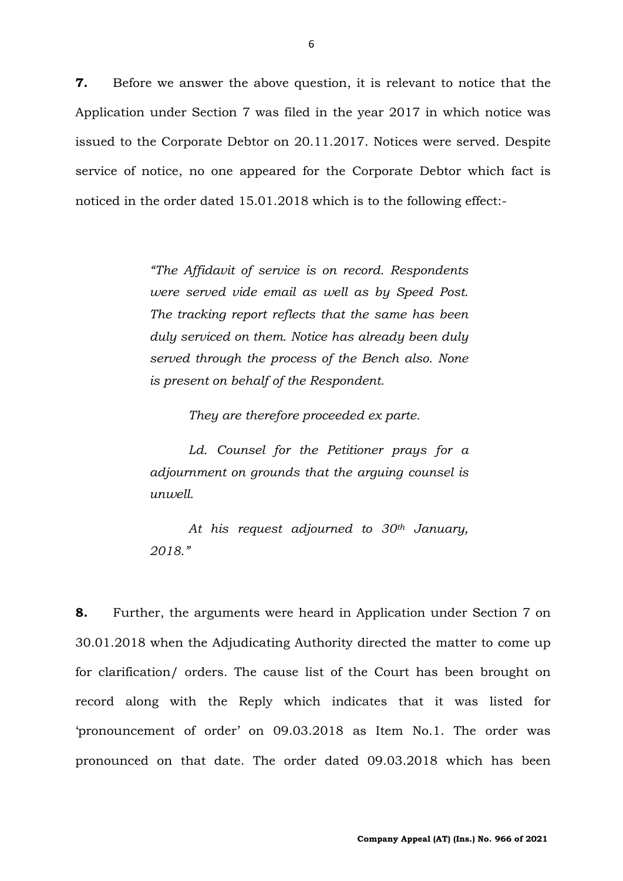**7.** Before we answer the above question, it is relevant to notice that the Application under Section 7 was filed in the year 2017 in which notice was issued to the Corporate Debtor on 20.11.2017. Notices were served. Despite service of notice, no one appeared for the Corporate Debtor which fact is noticed in the order dated 15.01.2018 which is to the following effect:-

> *"The Affidavit of service is on record. Respondents were served vide email as well as by Speed Post. The tracking report reflects that the same has been duly serviced on them. Notice has already been duly served through the process of the Bench also. None is present on behalf of the Respondent.*

> > *They are therefore proceeded ex parte.*

*Ld. Counsel for the Petitioner prays for a adjournment on grounds that the arguing counsel is unwell.*

*At his request adjourned to 30th January, 2018."*

**8.** Further, the arguments were heard in Application under Section 7 on 30.01.2018 when the Adjudicating Authority directed the matter to come up for clarification/ orders. The cause list of the Court has been brought on record along with the Reply which indicates that it was listed for 'pronouncement of order' on 09.03.2018 as Item No.1. The order was pronounced on that date. The order dated 09.03.2018 which has been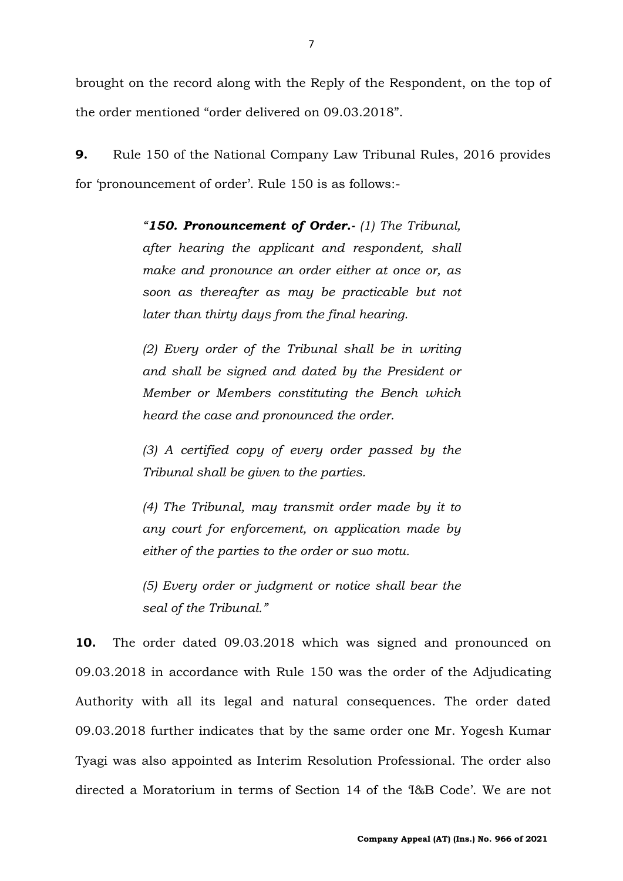brought on the record along with the Reply of the Respondent, on the top of the order mentioned "order delivered on 09.03.2018".

**9.** Rule 150 of the National Company Law Tribunal Rules, 2016 provides for 'pronouncement of order'. Rule 150 is as follows:-

> *"150. Pronouncement of Order.- (1) The Tribunal, after hearing the applicant and respondent, shall make and pronounce an order either at once or, as soon as thereafter as may be practicable but not later than thirty days from the final hearing.*

> *(2) Every order of the Tribunal shall be in writing and shall be signed and dated by the President or Member or Members constituting the Bench which heard the case and pronounced the order.*

> *(3) A certified copy of every order passed by the Tribunal shall be given to the parties.*

> *(4) The Tribunal, may transmit order made by it to any court for enforcement, on application made by either of the parties to the order or suo motu.*

> *(5) Every order or judgment or notice shall bear the seal of the Tribunal."*

**10.** The order dated 09.03.2018 which was signed and pronounced on 09.03.2018 in accordance with Rule 150 was the order of the Adjudicating Authority with all its legal and natural consequences. The order dated 09.03.2018 further indicates that by the same order one Mr. Yogesh Kumar Tyagi was also appointed as Interim Resolution Professional. The order also directed a Moratorium in terms of Section 14 of the 'I&B Code'. We are not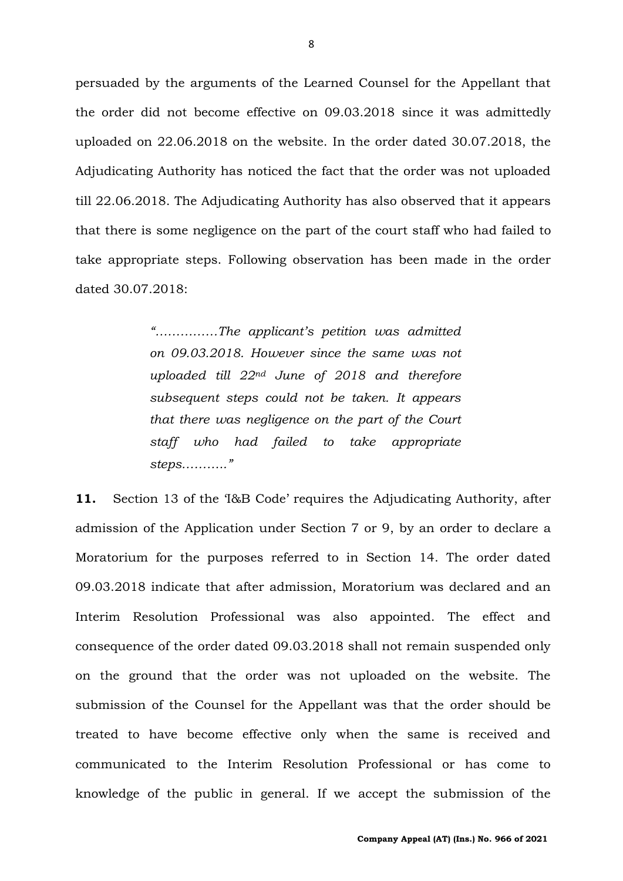persuaded by the arguments of the Learned Counsel for the Appellant that the order did not become effective on 09.03.2018 since it was admittedly uploaded on 22.06.2018 on the website. In the order dated 30.07.2018, the Adjudicating Authority has noticed the fact that the order was not uploaded till 22.06.2018. The Adjudicating Authority has also observed that it appears that there is some negligence on the part of the court staff who had failed to take appropriate steps. Following observation has been made in the order dated 30.07.2018:

> *"……………The applicant's petition was admitted on 09.03.2018. However since the same was not uploaded till 22nd June of 2018 and therefore subsequent steps could not be taken. It appears that there was negligence on the part of the Court staff who had failed to take appropriate steps……….."*

**11.** Section 13 of the 'I&B Code' requires the Adjudicating Authority, after admission of the Application under Section 7 or 9, by an order to declare a Moratorium for the purposes referred to in Section 14. The order dated 09.03.2018 indicate that after admission, Moratorium was declared and an Interim Resolution Professional was also appointed. The effect and consequence of the order dated 09.03.2018 shall not remain suspended only on the ground that the order was not uploaded on the website. The submission of the Counsel for the Appellant was that the order should be treated to have become effective only when the same is received and communicated to the Interim Resolution Professional or has come to knowledge of the public in general. If we accept the submission of the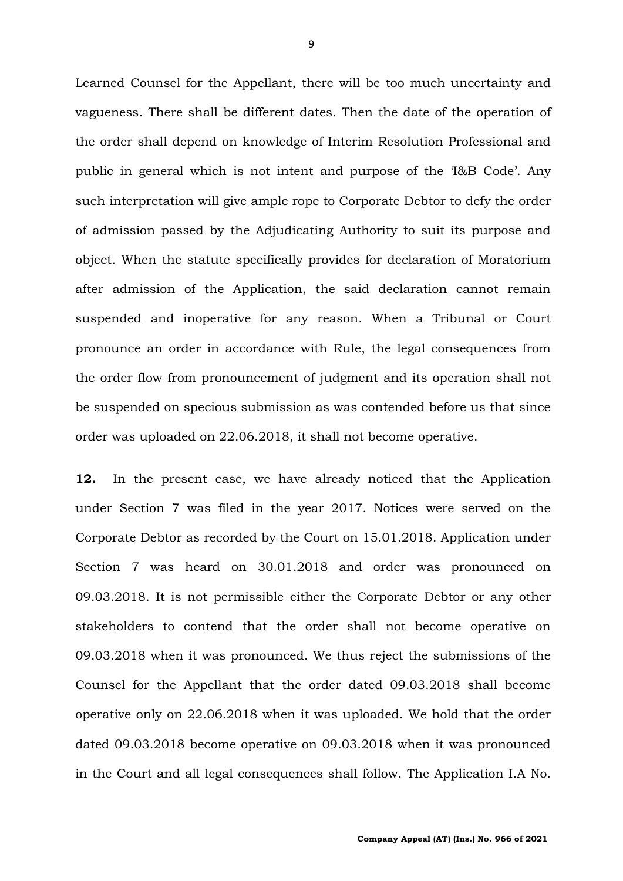Learned Counsel for the Appellant, there will be too much uncertainty and vagueness. There shall be different dates. Then the date of the operation of the order shall depend on knowledge of Interim Resolution Professional and public in general which is not intent and purpose of the 'I&B Code'. Any such interpretation will give ample rope to Corporate Debtor to defy the order of admission passed by the Adjudicating Authority to suit its purpose and object. When the statute specifically provides for declaration of Moratorium after admission of the Application, the said declaration cannot remain suspended and inoperative for any reason. When a Tribunal or Court pronounce an order in accordance with Rule, the legal consequences from the order flow from pronouncement of judgment and its operation shall not be suspended on specious submission as was contended before us that since order was uploaded on 22.06.2018, it shall not become operative.

**12.** In the present case, we have already noticed that the Application under Section 7 was filed in the year 2017. Notices were served on the Corporate Debtor as recorded by the Court on 15.01.2018. Application under Section 7 was heard on 30.01.2018 and order was pronounced on 09.03.2018. It is not permissible either the Corporate Debtor or any other stakeholders to contend that the order shall not become operative on 09.03.2018 when it was pronounced. We thus reject the submissions of the Counsel for the Appellant that the order dated 09.03.2018 shall become operative only on 22.06.2018 when it was uploaded. We hold that the order dated 09.03.2018 become operative on 09.03.2018 when it was pronounced in the Court and all legal consequences shall follow. The Application I.A No.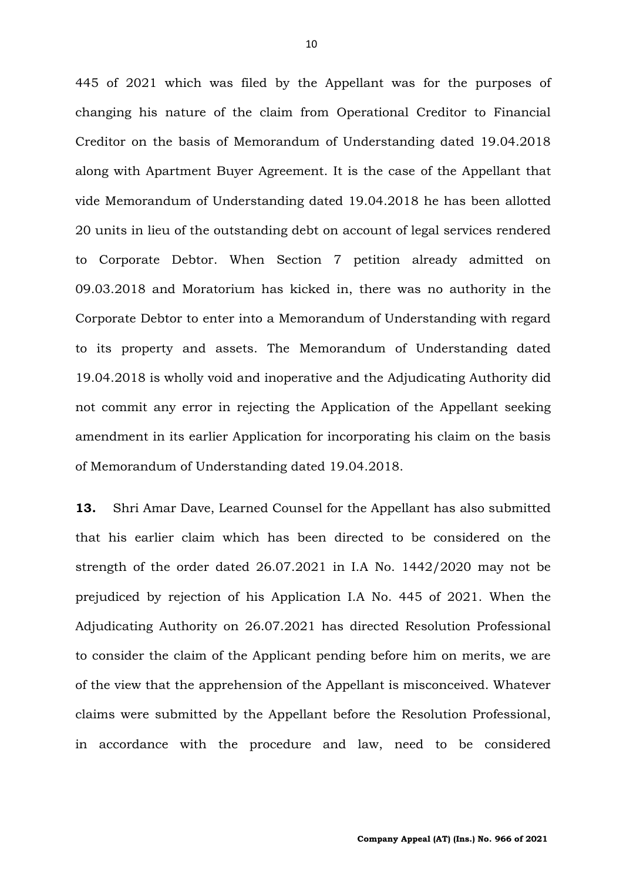445 of 2021 which was filed by the Appellant was for the purposes of changing his nature of the claim from Operational Creditor to Financial Creditor on the basis of Memorandum of Understanding dated 19.04.2018 along with Apartment Buyer Agreement. It is the case of the Appellant that vide Memorandum of Understanding dated 19.04.2018 he has been allotted 20 units in lieu of the outstanding debt on account of legal services rendered to Corporate Debtor. When Section 7 petition already admitted on 09.03.2018 and Moratorium has kicked in, there was no authority in the Corporate Debtor to enter into a Memorandum of Understanding with regard to its property and assets. The Memorandum of Understanding dated 19.04.2018 is wholly void and inoperative and the Adjudicating Authority did not commit any error in rejecting the Application of the Appellant seeking amendment in its earlier Application for incorporating his claim on the basis of Memorandum of Understanding dated 19.04.2018.

**13.** Shri Amar Dave, Learned Counsel for the Appellant has also submitted that his earlier claim which has been directed to be considered on the strength of the order dated 26.07.2021 in I.A No. 1442/2020 may not be prejudiced by rejection of his Application I.A No. 445 of 2021. When the Adjudicating Authority on 26.07.2021 has directed Resolution Professional to consider the claim of the Applicant pending before him on merits, we are of the view that the apprehension of the Appellant is misconceived. Whatever claims were submitted by the Appellant before the Resolution Professional, in accordance with the procedure and law, need to be considered